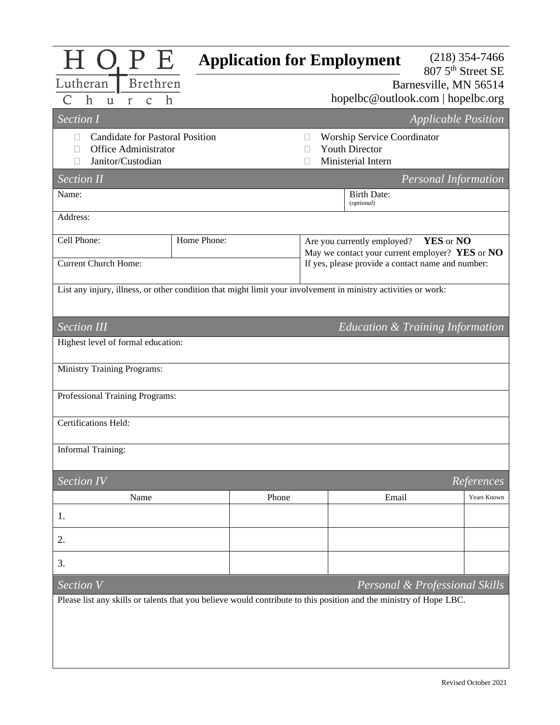| 1 O. P E                                                                                                           |             | <b>Application for Employment</b>  |                                                                                                      |                             | $(218)$ 354-7466<br>807 5 <sup>th</sup> Street SE |  |  |
|--------------------------------------------------------------------------------------------------------------------|-------------|------------------------------------|------------------------------------------------------------------------------------------------------|-----------------------------|---------------------------------------------------|--|--|
| Brethren<br>Lutheran                                                                                               |             | Barnesville, MN 56514              |                                                                                                      |                             |                                                   |  |  |
| $\hbar$<br>$\hbar$<br>$\mathcal{C}$<br>$\mathbf{r}$<br>$\mathbf{u}$                                                |             | hopelbc@outlook.com   hopelbc.org  |                                                                                                      |                             |                                                   |  |  |
| Section I<br><b>Applicable Position</b>                                                                            |             |                                    |                                                                                                      |                             |                                                   |  |  |
| <b>Candidate for Pastoral Position</b><br>П                                                                        |             | <b>Worship Service Coordinator</b> |                                                                                                      |                             |                                                   |  |  |
| <b>Office Administrator</b><br>П                                                                                   |             | <b>Youth Director</b>              |                                                                                                      |                             |                                                   |  |  |
| Janitor/Custodian                                                                                                  |             |                                    | Ministerial Intern                                                                                   |                             |                                                   |  |  |
| <b>Section II</b>                                                                                                  |             |                                    |                                                                                                      | <b>Personal Information</b> |                                                   |  |  |
| Name:                                                                                                              |             |                                    | <b>Birth Date:</b><br>(optional)                                                                     |                             |                                                   |  |  |
| Address:                                                                                                           |             |                                    |                                                                                                      |                             |                                                   |  |  |
| Cell Phone:                                                                                                        | Home Phone: |                                    | YES or NO<br>Are you currently employed?                                                             |                             |                                                   |  |  |
| <b>Current Church Home:</b>                                                                                        |             |                                    | May we contact your current employer? YES or NO<br>If yes, please provide a contact name and number: |                             |                                                   |  |  |
|                                                                                                                    |             |                                    |                                                                                                      |                             |                                                   |  |  |
| List any injury, illness, or other condition that might limit your involvement in ministry activities or work:     |             |                                    |                                                                                                      |                             |                                                   |  |  |
| <b>Section III</b><br>Education & Training Information                                                             |             |                                    |                                                                                                      |                             |                                                   |  |  |
| Highest level of formal education:                                                                                 |             |                                    |                                                                                                      |                             |                                                   |  |  |
| <b>Ministry Training Programs:</b>                                                                                 |             |                                    |                                                                                                      |                             |                                                   |  |  |
| Professional Training Programs:                                                                                    |             |                                    |                                                                                                      |                             |                                                   |  |  |
| Certifications Held:                                                                                               |             |                                    |                                                                                                      |                             |                                                   |  |  |
| <b>Informal Training:</b>                                                                                          |             |                                    |                                                                                                      |                             |                                                   |  |  |
| <b>Section IV</b><br>References                                                                                    |             |                                    |                                                                                                      |                             |                                                   |  |  |
| Name                                                                                                               |             | Phone                              | Email                                                                                                |                             | Years Known                                       |  |  |
| 1.                                                                                                                 |             |                                    |                                                                                                      |                             |                                                   |  |  |
| 2.                                                                                                                 |             |                                    |                                                                                                      |                             |                                                   |  |  |
| 3.                                                                                                                 |             |                                    |                                                                                                      |                             |                                                   |  |  |
| Section V<br>Personal & Professional Skills                                                                        |             |                                    |                                                                                                      |                             |                                                   |  |  |
| Please list any skills or talents that you believe would contribute to this position and the ministry of Hope LBC. |             |                                    |                                                                                                      |                             |                                                   |  |  |
|                                                                                                                    |             |                                    |                                                                                                      |                             |                                                   |  |  |
|                                                                                                                    |             |                                    |                                                                                                      |                             |                                                   |  |  |
|                                                                                                                    |             |                                    |                                                                                                      |                             |                                                   |  |  |
|                                                                                                                    |             |                                    |                                                                                                      |                             |                                                   |  |  |